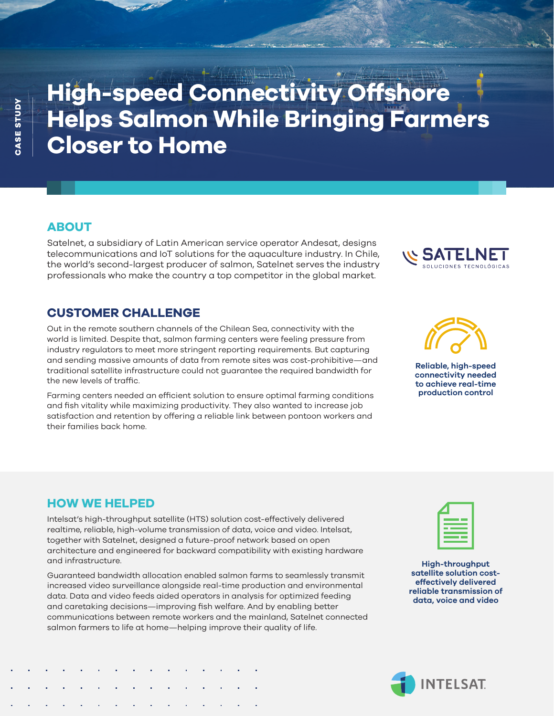# **High-speed Connectivity Offshore Helps Salmon While Bringing Farmers Closer to Home**

# **ABOUT**

Satelnet, a subsidiary of Latin American service operator Andesat, designs telecommunications and IoT solutions for the aquaculture industry. In Chile, the world's second-largest producer of salmon, Satelnet serves the industry professionals who make the country a top competitor in the global market.

# **CUSTOMER CHALLENGE**

Out in the remote southern channels of the Chilean Sea, connectivity with the world is limited. Despite that, salmon farming centers were feeling pressure from industry regulators to meet more stringent reporting requirements. But capturing and sending massive amounts of data from remote sites was cost-prohibitive—and traditional satellite infrastructure could not guarantee the required bandwidth for the new levels of traffic.

Farming centers needed an efficient solution to ensure optimal farming conditions and fish vitality while maximizing productivity. They also wanted to increase job satisfaction and retention by offering a reliable link between pontoon workers and their families back home.

**Reliable, high-speed connectivity needed to achieve real-time production control**

### **HOW WE HELPED**

Intelsat's high-throughput satellite (HTS) solution cost-effectively delivered realtime, reliable, high-volume transmission of data, voice and video. Intelsat, together with Satelnet, designed a future-proof network based on open architecture and engineered for backward compatibility with existing hardware and infrastructure.

Guaranteed bandwidth allocation enabled salmon farms to seamlessly transmit increased video surveillance alongside real-time production and environmental data. Data and video feeds aided operators in analysis for optimized feeding and caretaking decisions—improving fish welfare. And by enabling better communications between remote workers and the mainland, Satelnet connected salmon farmers to life at home—helping improve their quality of life.

**High-throughput satellite solution costeffectively delivered reliable transmission of data, voice and video**